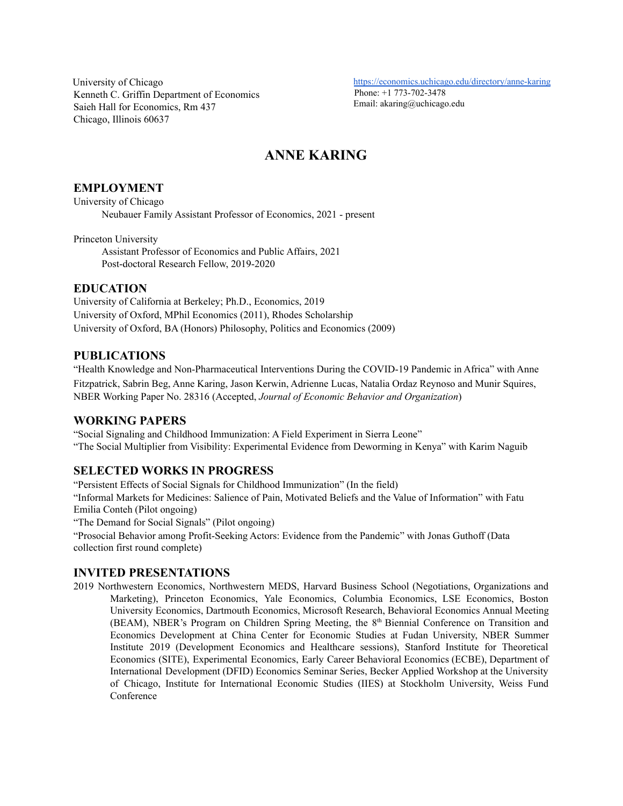University of Chicago Kenneth C. Griffin Department of Economics Saieh Hall for Economics, Rm 437 Chicago, Illinois 60637

<https://economics.uchicago.edu/directory/anne-karing> Phone: +1 773-702-3478 [Email: akaring@uchicago.edu](mailto:akaring@princeton.edu)

# **ANNE KARING**

# **EMPLOYMENT**

University of Chicago Neubauer Family Assistant Professor of Economics, 2021 - present

Princeton University

Assistant Professor of Economics and Public Affairs, 2021 Post-doctoral Research Fellow, 2019-2020

# **EDUCATION**

University of California at Berkeley; Ph.D., Economics, 2019 University of Oxford, MPhil Economics (2011), Rhodes Scholarship University of Oxford, BA (Honors) Philosophy, Politics and Economics (2009)

# **PUBLICATIONS**

"Health Knowledge and Non-Pharmaceutical Interventions During the COVID-19 Pandemic in Africa" with Anne Fitzpatrick, Sabrin Beg, Anne Karing, Jason Kerwin, Adrienne Lucas, Natalia Ordaz Reynoso and Munir Squires, NBER [Working](https://doi.org/10.3386/w28316) Paper No. 28316 (Accepted, *Journal of Economic Behavior and Organization*)

# **WORKING PAPERS**

"Social Signaling and Childhood Immunization: A Field Experiment in Sierra Leone" "The Social Multiplier from Visibility: Experimental Evidence from Deworming in Kenya" with Karim Naguib

# **SELECTED WORKS IN PROGRESS**

"Persistent Effects of Social Signals for Childhood Immunization" (In the field) "Informal Markets for Medicines: Salience of Pain, Motivated Beliefs and the Value of Information" with Fatu Emilia Conteh (Pilot ongoing) "The Demand for Social Signals" (Pilot ongoing)

"Prosocial Behavior among Profit-Seeking Actors: Evidence from the Pandemic" with Jonas Guthoff (Data collection first round complete)

# **INVITED PRESENTATIONS**

2019 Northwestern Economics, Northwestern MEDS, Harvard Business School (Negotiations, Organizations and Marketing), Princeton Economics, Yale Economics, Columbia Economics, LSE Economics, Boston University Economics, Dartmouth Economics, Microsoft Research, Behavioral Economics Annual Meeting (BEAM), NBER's Program on Children Spring Meeting, the 8<sup>th</sup> Biennial Conference on Transition and Economics Development at China Center for Economic Studies at Fudan University, NBER Summer Institute 2019 (Development Economics and Healthcare sessions), Stanford Institute for Theoretical Economics (SITE), Experimental Economics, Early Career Behavioral Economics (ECBE), Department of International Development (DFID) Economics Seminar Series, Becker Applied Workshop at the University of Chicago, Institute for International Economic Studies (IIES) at Stockholm University, Weiss Fund Conference